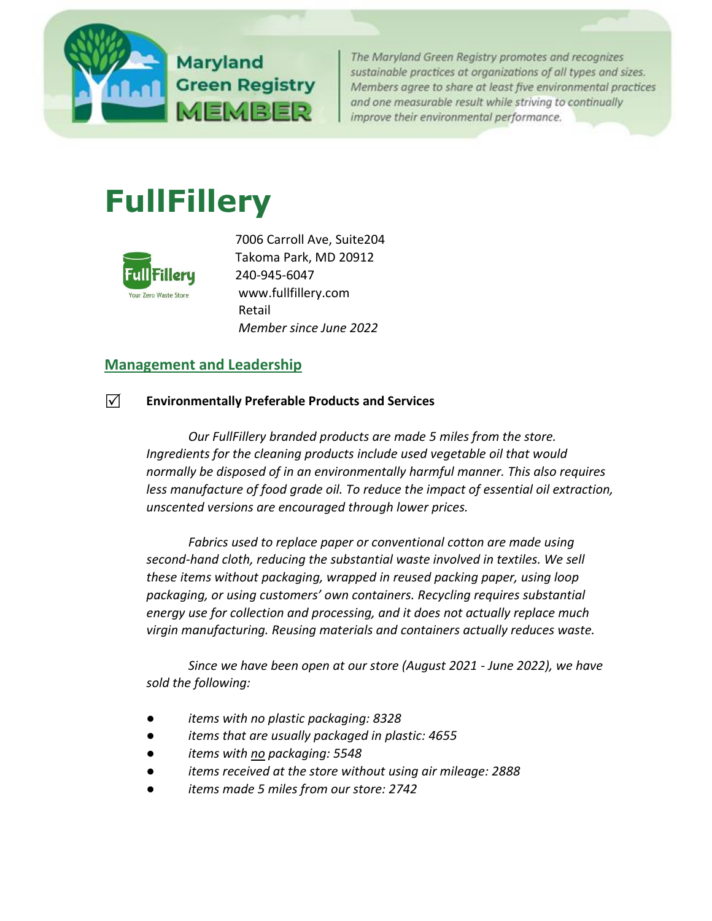

The Maryland Green Registry promotes and recognizes sustainable practices at organizations of all types and sizes. Members agree to share at least five environmental practices and one measurable result while striving to continually improve their environmental performance.

# **FullFillery**



7006 Carroll Ave, Suite204 Takoma Park, MD 20912 240-945-6047 www.fullfillery.com Retail *Member since June 2022*

# **[Management and Leadership](http://mde.maryland.gov/marylandgreen/Pages/Management.aspx)**

#### **Environmentally Preferable Products and Services**

*Our FullFillery branded products are made 5 miles from the store. Ingredients for the cleaning products include used vegetable oil that would normally be disposed of in an environmentally harmful manner. This also requires less manufacture of food grade oil. To reduce the impact of essential oil extraction, unscented versions are encouraged through lower prices.*

*Fabrics used to replace paper or conventional cotton are made using second-hand cloth, reducing the substantial waste involved in textiles. We sell these items without packaging, wrapped in reused packing paper, using loop packaging, or using customers' own containers. Recycling requires substantial energy use for collection and processing, and it does not actually replace much virgin manufacturing. Reusing materials and containers actually reduces waste.*

*Since we have been open at our store (August 2021 - June 2022), we have sold the following:*

- *items with no plastic packaging: 8328*
- *items that are usually packaged in plastic: 4655*
- *items with no packaging: 5548*
- *items received at the store without using air mileage: 2888*
- *items made 5 miles from our store: 2742*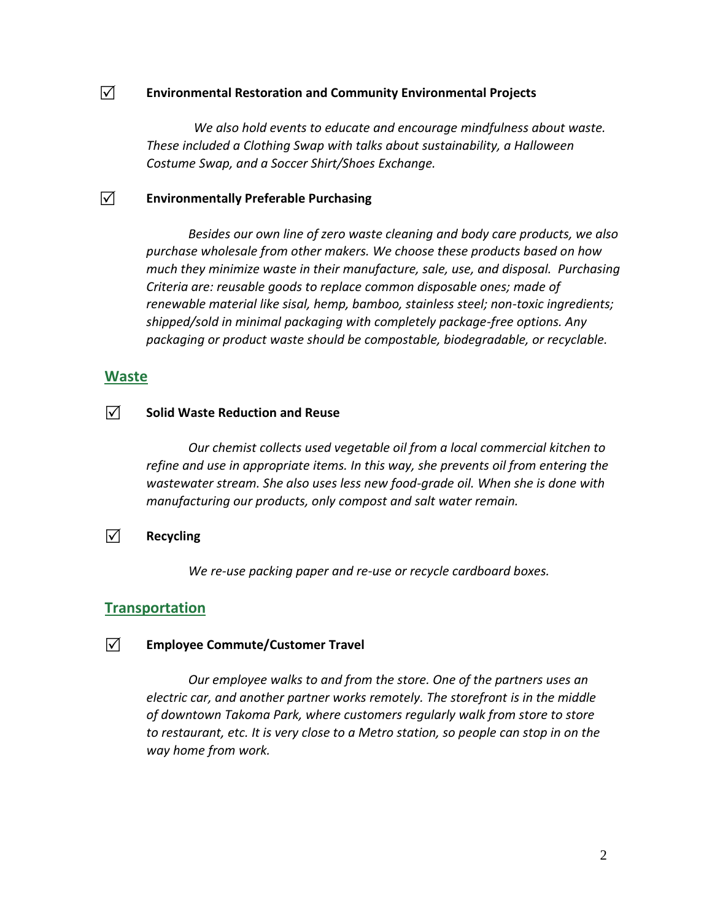#### **Environmental Restoration and Community Environmental Projects**

*We also hold events to educate and encourage mindfulness about waste. These included a Clothing Swap with talks about sustainability, a Halloween Costume Swap, and a Soccer Shirt/Shoes Exchange.* 

#### **Environmentally Preferable Purchasing**

*Besides our own line of zero waste cleaning and body care products, we also purchase wholesale from other makers. We choose these products based on how much they minimize waste in their manufacture, sale, use, and disposal. Purchasing Criteria are: reusable goods to replace common disposable ones; made of renewable material like sisal, hemp, bamboo, stainless steel; non-toxic ingredients; shipped/sold in minimal packaging with completely package-free options. Any packaging or product waste should be compostable, biodegradable, or recyclable.*

#### **[Waste](http://www.mde.state.md.us/marylandgreen/Pages/Waste.aspx)**

#### $\sqrt{ }$  Solid Waste Reduction and Reuse

*Our chemist collects used vegetable oil from a local commercial kitchen to refine and use in appropriate items. In this way, she prevents oil from entering the wastewater stream. She also uses less new food-grade oil. When she is done with manufacturing our products, only compost and salt water remain.*

#### **Recycling**

*We re-use packing paper and re-use or recycle cardboard boxes.*

### **[Transportation](http://www.mde.state.md.us/marylandgreen/Pages/Transportation.aspx)**

#### **Employee Commute/Customer Travel**

*Our employee walks to and from the store. One of the partners uses an electric car, and another partner works remotely. The storefront is in the middle of downtown Takoma Park, where customers regularly walk from store to store to restaurant, etc. It is very close to a Metro station, so people can stop in on the way home from work.*